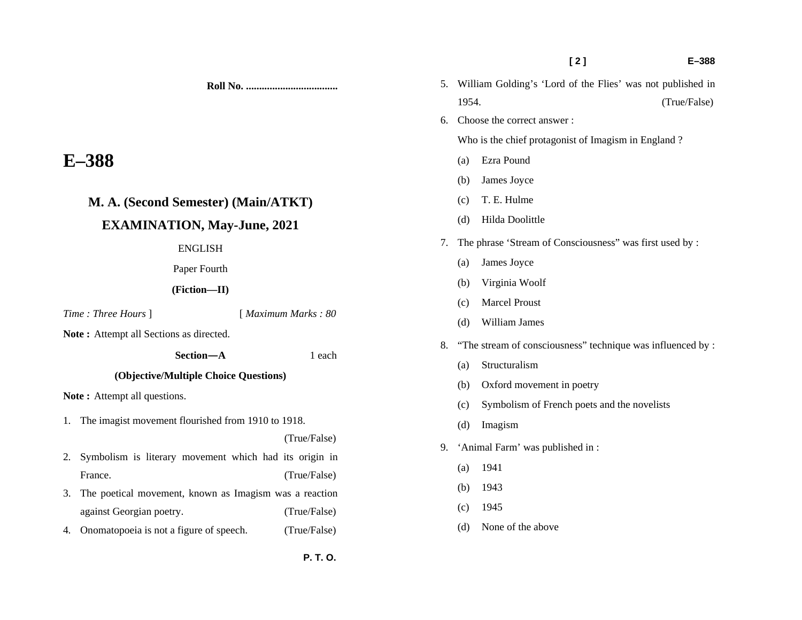|                                                      |                                                           |                     |     |                       | [2]                                                           | $E - 388$ |  |
|------------------------------------------------------|-----------------------------------------------------------|---------------------|-----|-----------------------|---------------------------------------------------------------|-----------|--|
|                                                      |                                                           |                     |     |                       | 5. William Golding's 'Lord of the Flies' was not published in |           |  |
|                                                      |                                                           |                     |     | 1954.<br>(True/False) |                                                               |           |  |
|                                                      |                                                           |                     | 6.  |                       | Choose the correct answer:                                    |           |  |
|                                                      |                                                           |                     |     |                       | Who is the chief protagonist of Imagism in England?           |           |  |
| $E-388$                                              |                                                           |                     | (a) | Ezra Pound            |                                                               |           |  |
|                                                      |                                                           |                     |     | (b)                   | James Joyce                                                   |           |  |
|                                                      | M. A. (Second Semester) (Main/ATKT)                       |                     |     | (c)                   | T. E. Hulme                                                   |           |  |
|                                                      | <b>EXAMINATION, May-June, 2021</b>                        |                     |     | (d)                   | Hilda Doolittle                                               |           |  |
|                                                      | <b>ENGLISH</b>                                            |                     | 7.  |                       | The phrase 'Stream of Consciousness'' was first used by :     |           |  |
|                                                      | Paper Fourth                                              |                     |     | (a)                   | James Joyce                                                   |           |  |
| (Fiction-II)                                         |                                                           |                     | (b) | Virginia Woolf        |                                                               |           |  |
|                                                      |                                                           |                     |     | (c)                   | <b>Marcel Proust</b>                                          |           |  |
|                                                      | Time: Three Hours ]                                       | [ Maximum Marks: 80 |     | (d)                   | William James                                                 |           |  |
| Note: Attempt all Sections as directed.<br>Section-A |                                                           |                     | 8.  |                       | "The stream of consciousness" technique was influenced by :   |           |  |
|                                                      |                                                           | 1 each              |     | (a)                   | Structuralism                                                 |           |  |
| (Objective/Multiple Choice Questions)                |                                                           |                     |     |                       |                                                               |           |  |
| Note: Attempt all questions.                         |                                                           |                     |     | (b)                   | Oxford movement in poetry                                     |           |  |
|                                                      | 1. The imagist movement flourished from 1910 to 1918.     |                     |     | (c)                   | Symbolism of French poets and the novelists                   |           |  |
|                                                      |                                                           | (True/False)        |     | (d)                   | Imagism                                                       |           |  |
| 2.                                                   | Symbolism is literary movement which had its origin in    |                     | 9.  |                       | 'Animal Farm' was published in:                               |           |  |
|                                                      | France.                                                   | (True/False)        |     | (a)                   | 1941                                                          |           |  |
|                                                      | 3. The poetical movement, known as Imagism was a reaction |                     |     | (b)                   | 1943                                                          |           |  |
|                                                      | against Georgian poetry.                                  | (True/False)        |     | (c)                   | 1945                                                          |           |  |
| 4.                                                   | Onomatopoeia is not a figure of speech.                   | (True/False)        |     | (d)                   | None of the above                                             |           |  |
|                                                      |                                                           |                     |     |                       |                                                               |           |  |
|                                                      |                                                           |                     |     |                       |                                                               |           |  |

- 1. The image
- 2. Symbol France.
- 3. The po against
- 4. Onoma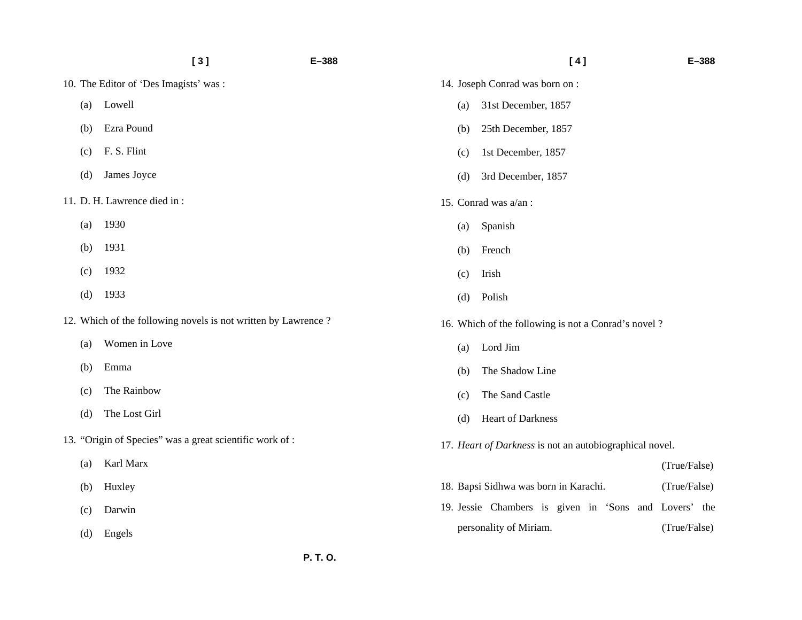|     | [3]                                                           | $E - 388$ |     | [4]                                                     | $E - 388$    |
|-----|---------------------------------------------------------------|-----------|-----|---------------------------------------------------------|--------------|
|     | 10. The Editor of 'Des Imagists' was:                         |           |     | 14. Joseph Conrad was born on:                          |              |
| (a) | Lowell                                                        |           | (a) | 31st December, 1857                                     |              |
| (b) | Ezra Pound                                                    |           | (b) | 25th December, 1857                                     |              |
| (c) | F. S. Flint                                                   |           | (c) | 1st December, 1857                                      |              |
| (d) | James Joyce                                                   |           | (d) | 3rd December, 1857                                      |              |
|     | 11. D. H. Lawrence died in:                                   |           |     | 15. Conrad was a/an:                                    |              |
| (a) | 1930                                                          |           | (a) | Spanish                                                 |              |
| (b) | 1931                                                          |           | (b) | French                                                  |              |
| (c) | 1932                                                          |           | (c) | Irish                                                   |              |
| (d) | 1933                                                          |           | (d) | Polish                                                  |              |
|     | 12. Which of the following novels is not written by Lawrence? |           |     | 16. Which of the following is not a Conrad's novel?     |              |
| (a) | Women in Love                                                 |           | (a) | Lord Jim                                                |              |
| (b) | Emma                                                          |           | (b) | The Shadow Line                                         |              |
| (c) | The Rainbow                                                   |           | (c) | The Sand Castle                                         |              |
| (d) | The Lost Girl                                                 |           | (d) | Heart of Darkness                                       |              |
|     | 13. "Origin of Species" was a great scientific work of :      |           |     | 17. Heart of Darkness is not an autobiographical novel. |              |
| (a) | Karl Marx                                                     |           |     |                                                         | (True/False) |
| (b) | Huxley                                                        |           |     | 18. Bapsi Sidhwa was born in Karachi.                   | (True/False) |
| (c) | Darwin                                                        |           |     | 19. Jessie Chambers is given in 'Sons and Lovers' the   |              |
| (d) | Engels                                                        |           |     | personality of Miriam.                                  | (True/False) |